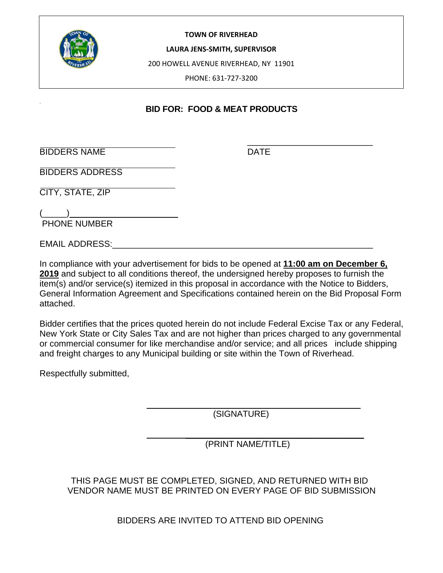

#### **TOWN OF RIVERHEAD**

**LAURA JENS‐SMITH, SUPERVISOR**

200 HOWELL AVENUE RIVERHEAD, NY 11901

PHONE: 631‐727‐3200

## **BID FOR: FOOD & MEAT PRODUCTS**

\_\_\_\_\_\_\_\_\_\_\_\_\_\_\_\_\_\_\_\_\_\_\_\_\_\_

BIDDERS NAME DATE

BIDDERS ADDRESS

CITY, STATE, ZIP

 $($   $)$ PHONE NUMBER

EMAIL ADDRESS:\_\_\_\_\_\_\_\_\_\_\_\_\_\_\_\_\_\_\_\_\_\_\_\_\_\_\_\_\_\_\_\_\_\_\_\_\_\_\_\_\_\_\_\_\_\_\_\_\_\_\_\_\_\_

In compliance with your advertisement for bids to be opened at **11:00 am on December 6, 2019** and subject to all conditions thereof, the undersigned hereby proposes to furnish the item(s) and/or service(s) itemized in this proposal in accordance with the Notice to Bidders, General Information Agreement and Specifications contained herein on the Bid Proposal Form attached.

Bidder certifies that the prices quoted herein do not include Federal Excise Tax or any Federal, New York State or City Sales Tax and are not higher than prices charged to any governmental or commercial consumer for like merchandise and/or service; and all prices include shipping and freight charges to any Municipal building or site within the Town of Riverhead.

Respectfully submitted,

(SIGNATURE)

 \_\_\_\_\_\_\_\_\_\_\_\_\_\_\_\_\_\_\_\_\_\_\_\_\_\_\_\_\_\_\_\_\_\_\_\_\_ (PRINT NAME/TITLE)

 $\mathcal{L}_\text{max}$  , which is a set of the set of the set of the set of the set of the set of the set of the set of the set of the set of the set of the set of the set of the set of the set of the set of the set of the set of

 THIS PAGE MUST BE COMPLETED, SIGNED, AND RETURNED WITH BID VENDOR NAME MUST BE PRINTED ON EVERY PAGE OF BID SUBMISSION

BIDDERS ARE INVITED TO ATTEND BID OPENING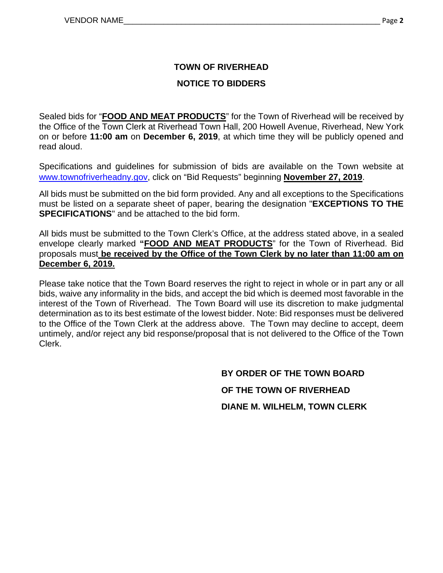## **TOWN OF RIVERHEAD**

## **NOTICE TO BIDDERS**

Sealed bids for "**FOOD AND MEAT PRODUCTS**" for the Town of Riverhead will be received by the Office of the Town Clerk at Riverhead Town Hall, 200 Howell Avenue, Riverhead, New York on or before **11:00 am** on **December 6, 2019**, at which time they will be publicly opened and read aloud.

Specifications and guidelines for submission of bids are available on the Town website at www.townofriverheadny.gov, click on "Bid Requests" beginning **November 27, 2019**.

All bids must be submitted on the bid form provided. Any and all exceptions to the Specifications must be listed on a separate sheet of paper, bearing the designation "**EXCEPTIONS TO THE SPECIFICATIONS**" and be attached to the bid form.

All bids must be submitted to the Town Clerk's Office, at the address stated above, in a sealed envelope clearly marked **"FOOD AND MEAT PRODUCTS**" for the Town of Riverhead. Bid proposals must **be received by the Office of the Town Clerk by no later than 11:00 am on December 6, 2019.** 

Please take notice that the Town Board reserves the right to reject in whole or in part any or all bids, waive any informality in the bids, and accept the bid which is deemed most favorable in the interest of the Town of Riverhead. The Town Board will use its discretion to make judgmental determination as to its best estimate of the lowest bidder. Note: Bid responses must be delivered to the Office of the Town Clerk at the address above. The Town may decline to accept, deem untimely, and/or reject any bid response/proposal that is not delivered to the Office of the Town Clerk.

> **BY ORDER OF THE TOWN BOARD OF THE TOWN OF RIVERHEAD DIANE M. WILHELM, TOWN CLERK**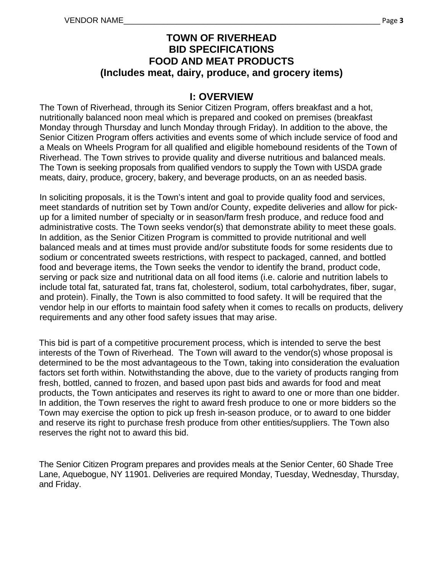## **TOWN OF RIVERHEAD BID SPECIFICATIONS FOOD AND MEAT PRODUCTS (Includes meat, dairy, produce, and grocery items)**

## **I: OVERVIEW**

The Town of Riverhead, through its Senior Citizen Program, offers breakfast and a hot, nutritionally balanced noon meal which is prepared and cooked on premises (breakfast Monday through Thursday and lunch Monday through Friday). In addition to the above, the Senior Citizen Program offers activities and events some of which include service of food and a Meals on Wheels Program for all qualified and eligible homebound residents of the Town of Riverhead. The Town strives to provide quality and diverse nutritious and balanced meals. The Town is seeking proposals from qualified vendors to supply the Town with USDA grade meats, dairy, produce, grocery, bakery, and beverage products, on an as needed basis.

In soliciting proposals, it is the Town's intent and goal to provide quality food and services, meet standards of nutrition set by Town and/or County, expedite deliveries and allow for pickup for a limited number of specialty or in season/farm fresh produce, and reduce food and administrative costs. The Town seeks vendor(s) that demonstrate ability to meet these goals. In addition, as the Senior Citizen Program is committed to provide nutritional and well balanced meals and at times must provide and/or substitute foods for some residents due to sodium or concentrated sweets restrictions, with respect to packaged, canned, and bottled food and beverage items, the Town seeks the vendor to identify the brand, product code, serving or pack size and nutritional data on all food items (i.e. calorie and nutrition labels to include total fat, saturated fat, trans fat, cholesterol, sodium, total carbohydrates, fiber, sugar, and protein). Finally, the Town is also committed to food safety. It will be required that the vendor help in our efforts to maintain food safety when it comes to recalls on products, delivery requirements and any other food safety issues that may arise.

This bid is part of a competitive procurement process, which is intended to serve the best interests of the Town of Riverhead. The Town will award to the vendor(s) whose proposal is determined to be the most advantageous to the Town, taking into consideration the evaluation factors set forth within. Notwithstanding the above, due to the variety of products ranging from fresh, bottled, canned to frozen, and based upon past bids and awards for food and meat products, the Town anticipates and reserves its right to award to one or more than one bidder. In addition, the Town reserves the right to award fresh produce to one or more bidders so the Town may exercise the option to pick up fresh in-season produce, or to award to one bidder and reserve its right to purchase fresh produce from other entities/suppliers. The Town also reserves the right not to award this bid.

The Senior Citizen Program prepares and provides meals at the Senior Center, 60 Shade Tree Lane, Aquebogue, NY 11901. Deliveries are required Monday, Tuesday, Wednesday, Thursday, and Friday.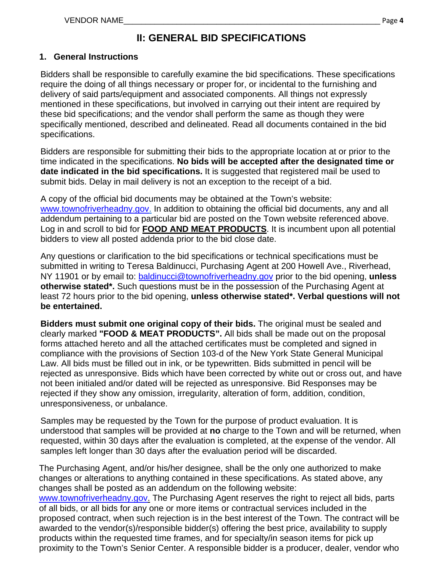# **II: GENERAL BID SPECIFICATIONS**

#### **1. General Instructions**

Bidders shall be responsible to carefully examine the bid specifications. These specifications require the doing of all things necessary or proper for, or incidental to the furnishing and delivery of said parts/equipment and associated components. All things not expressly mentioned in these specifications, but involved in carrying out their intent are required by these bid specifications; and the vendor shall perform the same as though they were specifically mentioned, described and delineated. Read all documents contained in the bid specifications.

Bidders are responsible for submitting their bids to the appropriate location at or prior to the time indicated in the specifications. **No bids will be accepted after the designated time or date indicated in the bid specifications.** It is suggested that registered mail be used to submit bids. Delay in mail delivery is not an exception to the receipt of a bid.

A copy of the official bid documents may be obtained at the Town's website: www.townofriverheadny.gov. In addition to obtaining the official bid documents, any and all addendum pertaining to a particular bid are posted on the Town website referenced above. Log in and scroll to bid for **FOOD AND MEAT PRODUCTS**. It is incumbent upon all potential bidders to view all posted addenda prior to the bid close date.

Any questions or clarification to the bid specifications or technical specifications must be submitted in writing to Teresa Baldinucci, Purchasing Agent at 200 Howell Ave., Riverhead, NY 11901 or by email to: baldinucci@townofriverheadny.gov prior to the bid opening, **unless otherwise stated\*.** Such questions must be in the possession of the Purchasing Agent at least 72 hours prior to the bid opening, **unless otherwise stated\*. Verbal questions will not be entertained.** 

**Bidders must submit one original copy of their bids.** The original must be sealed and clearly marked **"FOOD & MEAT PRODUCTS".** All bids shall be made out on the proposal forms attached hereto and all the attached certificates must be completed and signed in compliance with the provisions of Section 103-d of the New York State General Municipal Law. All bids must be filled out in ink, or be typewritten. Bids submitted in pencil will be rejected as unresponsive. Bids which have been corrected by white out or cross out, and have not been initialed and/or dated will be rejected as unresponsive. Bid Responses may be rejected if they show any omission, irregularity, alteration of form, addition, condition, unresponsiveness, or unbalance.

Samples may be requested by the Town for the purpose of product evaluation. It is understood that samples will be provided at **no** charge to the Town and will be returned, when requested, within 30 days after the evaluation is completed, at the expense of the vendor. All samples left longer than 30 days after the evaluation period will be discarded.

The Purchasing Agent, and/or his/her designee, shall be the only one authorized to make changes or alterations to anything contained in these specifications. As stated above, any changes shall be posted as an addendum on the following website: www.townofriverheadny.gov. The Purchasing Agent reserves the right to reject all bids, parts of all bids, or all bids for any one or more items or contractual services included in the proposed contract, when such rejection is in the best interest of the Town. The contract will be awarded to the vendor(s)/responsible bidder(s) offering the best price, availability to supply

products within the requested time frames, and for specialty/in season items for pick up proximity to the Town's Senior Center. A responsible bidder is a producer, dealer, vendor who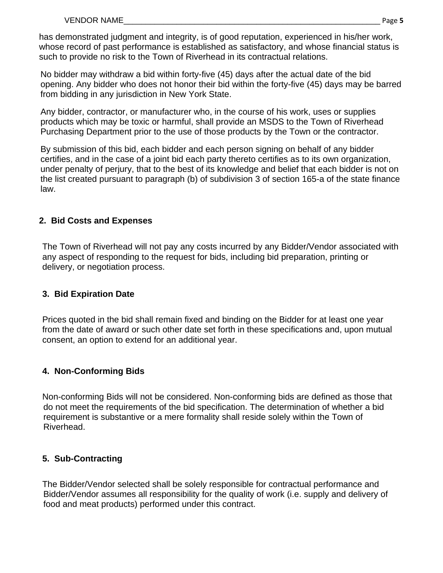has demonstrated judgment and integrity, is of good reputation, experienced in his/her work, whose record of past performance is established as satisfactory, and whose financial status is such to provide no risk to the Town of Riverhead in its contractual relations.

No bidder may withdraw a bid within forty-five (45) days after the actual date of the bid opening. Any bidder who does not honor their bid within the forty-five (45) days may be barred from bidding in any jurisdiction in New York State.

Any bidder, contractor, or manufacturer who, in the course of his work, uses or supplies products which may be toxic or harmful, shall provide an MSDS to the Town of Riverhead Purchasing Department prior to the use of those products by the Town or the contractor.

By submission of this bid, each bidder and each person signing on behalf of any bidder certifies, and in the case of a joint bid each party thereto certifies as to its own organization, under penalty of perjury, that to the best of its knowledge and belief that each bidder is not on the list created pursuant to paragraph (b) of subdivision 3 of section 165-a of the state finance law.

## **2. Bid Costs and Expenses**

 The Town of Riverhead will not pay any costs incurred by any Bidder/Vendor associated with any aspect of responding to the request for bids, including bid preparation, printing or delivery, or negotiation process.

## **3. Bid Expiration Date**

Prices quoted in the bid shall remain fixed and binding on the Bidder for at least one year from the date of award or such other date set forth in these specifications and, upon mutual consent, an option to extend for an additional year.

## **4. Non-Conforming Bids**

Non-conforming Bids will not be considered. Non-conforming bids are defined as those that do not meet the requirements of the bid specification. The determination of whether a bid requirement is substantive or a mere formality shall reside solely within the Town of Riverhead.

## **5. Sub-Contracting**

The Bidder/Vendor selected shall be solely responsible for contractual performance and Bidder/Vendor assumes all responsibility for the quality of work (i.e. supply and delivery of food and meat products) performed under this contract.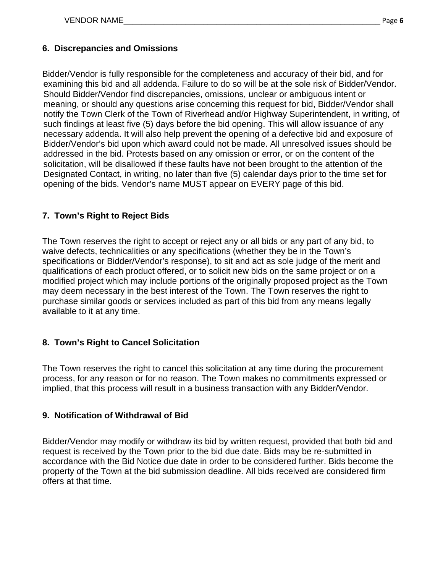### **6. Discrepancies and Omissions**

Bidder/Vendor is fully responsible for the completeness and accuracy of their bid, and for examining this bid and all addenda. Failure to do so will be at the sole risk of Bidder/Vendor. Should Bidder/Vendor find discrepancies, omissions, unclear or ambiguous intent or meaning, or should any questions arise concerning this request for bid, Bidder/Vendor shall notify the Town Clerk of the Town of Riverhead and/or Highway Superintendent, in writing, of such findings at least five (5) days before the bid opening. This will allow issuance of any necessary addenda. It will also help prevent the opening of a defective bid and exposure of Bidder/Vendor's bid upon which award could not be made. All unresolved issues should be addressed in the bid. Protests based on any omission or error, or on the content of the solicitation, will be disallowed if these faults have not been brought to the attention of the Designated Contact, in writing, no later than five (5) calendar days prior to the time set for opening of the bids. Vendor's name MUST appear on EVERY page of this bid.

### **7. Town's Right to Reject Bids**

The Town reserves the right to accept or reject any or all bids or any part of any bid, to waive defects, technicalities or any specifications (whether they be in the Town's specifications or Bidder/Vendor's response), to sit and act as sole judge of the merit and qualifications of each product offered, or to solicit new bids on the same project or on a modified project which may include portions of the originally proposed project as the Town may deem necessary in the best interest of the Town. The Town reserves the right to purchase similar goods or services included as part of this bid from any means legally available to it at any time.

## **8. Town's Right to Cancel Solicitation**

The Town reserves the right to cancel this solicitation at any time during the procurement process, for any reason or for no reason. The Town makes no commitments expressed or implied, that this process will result in a business transaction with any Bidder/Vendor.

#### **9. Notification of Withdrawal of Bid**

Bidder/Vendor may modify or withdraw its bid by written request, provided that both bid and request is received by the Town prior to the bid due date. Bids may be re-submitted in accordance with the Bid Notice due date in order to be considered further. Bids become the property of the Town at the bid submission deadline. All bids received are considered firm offers at that time.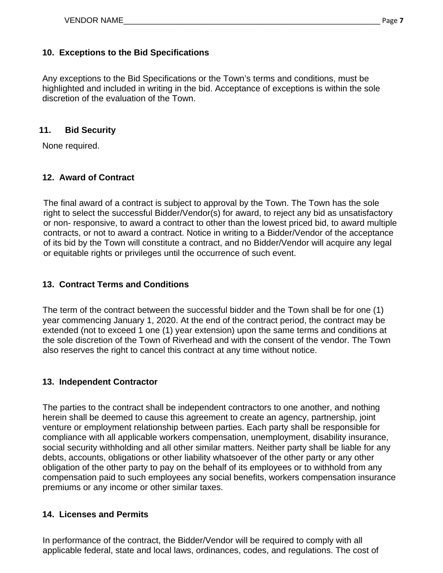## **10. Exceptions to the Bid Specifications**

Any exceptions to the Bid Specifications or the Town's terms and conditions, must be highlighted and included in writing in the bid. Acceptance of exceptions is within the sole discretion of the evaluation of the Town.

### **11. Bid Security**

None required.

## **12. Award of Contract**

The final award of a contract is subject to approval by the Town. The Town has the sole right to select the successful Bidder/Vendor(s) for award, to reject any bid as unsatisfactory or non- responsive, to award a contract to other than the lowest priced bid, to award multiple contracts, or not to award a contract. Notice in writing to a Bidder/Vendor of the acceptance of its bid by the Town will constitute a contract, and no Bidder/Vendor will acquire any legal or equitable rights or privileges until the occurrence of such event.

## **13. Contract Terms and Conditions**

The term of the contract between the successful bidder and the Town shall be for one (1) year commencing January 1, 2020. At the end of the contract period, the contract may be extended (not to exceed 1 one (1) year extension) upon the same terms and conditions at the sole discretion of the Town of Riverhead and with the consent of the vendor. The Town also reserves the right to cancel this contract at any time without notice.

## **13. Independent Contractor**

The parties to the contract shall be independent contractors to one another, and nothing herein shall be deemed to cause this agreement to create an agency, partnership, joint venture or employment relationship between parties. Each party shall be responsible for compliance with all applicable workers compensation, unemployment, disability insurance, social security withholding and all other similar matters. Neither party shall be liable for any debts, accounts, obligations or other liability whatsoever of the other party or any other obligation of the other party to pay on the behalf of its employees or to withhold from any compensation paid to such employees any social benefits, workers compensation insurance premiums or any income or other similar taxes.

## **14. Licenses and Permits**

In performance of the contract, the Bidder/Vendor will be required to comply with all applicable federal, state and local laws, ordinances, codes, and regulations. The cost of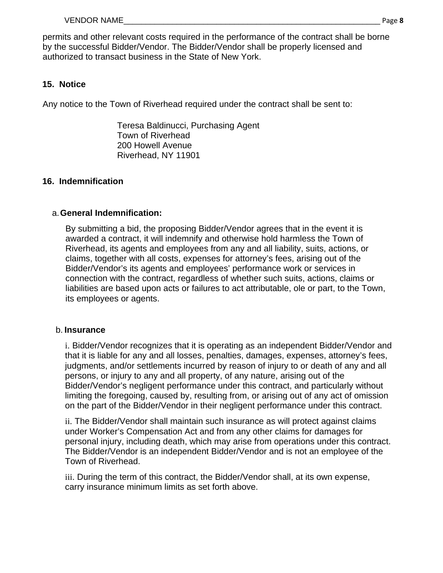permits and other relevant costs required in the performance of the contract shall be borne by the successful Bidder/Vendor. The Bidder/Vendor shall be properly licensed and authorized to transact business in the State of New York.

## **15. Notice**

Any notice to the Town of Riverhead required under the contract shall be sent to:

Teresa Baldinucci, Purchasing Agent Town of Riverhead 200 Howell Avenue Riverhead, NY 11901

## **16. Indemnification**

### a. **General Indemnification:**

By submitting a bid, the proposing Bidder/Vendor agrees that in the event it is awarded a contract, it will indemnify and otherwise hold harmless the Town of Riverhead, its agents and employees from any and all liability, suits, actions, or claims, together with all costs, expenses for attorney's fees, arising out of the Bidder/Vendor's its agents and employees' performance work or services in connection with the contract, regardless of whether such suits, actions, claims or liabilities are based upon acts or failures to act attributable, ole or part, to the Town, its employees or agents.

#### b. **Insurance**

i. Bidder/Vendor recognizes that it is operating as an independent Bidder/Vendor and that it is liable for any and all losses, penalties, damages, expenses, attorney's fees, judgments, and/or settlements incurred by reason of injury to or death of any and all persons, or injury to any and all property, of any nature, arising out of the Bidder/Vendor's negligent performance under this contract, and particularly without limiting the foregoing, caused by, resulting from, or arising out of any act of omission on the part of the Bidder/Vendor in their negligent performance under this contract.

ii. The Bidder/Vendor shall maintain such insurance as will protect against claims under Worker's Compensation Act and from any other claims for damages for personal injury, including death, which may arise from operations under this contract. The Bidder/Vendor is an independent Bidder/Vendor and is not an employee of the Town of Riverhead.

iii. During the term of this contract, the Bidder/Vendor shall, at its own expense, carry insurance minimum limits as set forth above.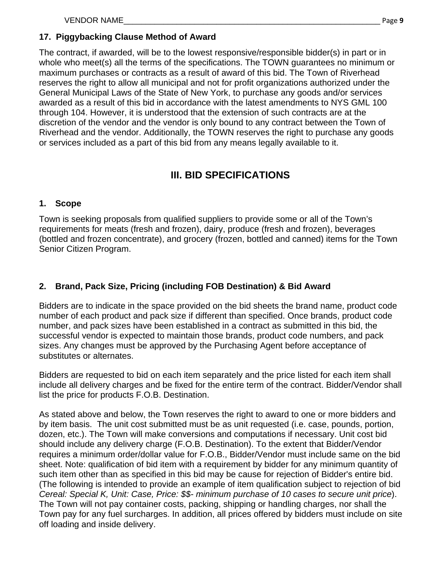## **17. Piggybacking Clause Method of Award**

The contract, if awarded, will be to the lowest responsive/responsible bidder(s) in part or in whole who meet(s) all the terms of the specifications. The TOWN quarantees no minimum or maximum purchases or contracts as a result of award of this bid. The Town of Riverhead reserves the right to allow all municipal and not for profit organizations authorized under the General Municipal Laws of the State of New York, to purchase any goods and/or services awarded as a result of this bid in accordance with the latest amendments to NYS GML 100 through 104. However, it is understood that the extension of such contracts are at the discretion of the vendor and the vendor is only bound to any contract between the Town of Riverhead and the vendor. Additionally, the TOWN reserves the right to purchase any goods or services included as a part of this bid from any means legally available to it.

## **III. BID SPECIFICATIONS**

## **1. Scope**

Town is seeking proposals from qualified suppliers to provide some or all of the Town's requirements for meats (fresh and frozen), dairy, produce (fresh and frozen), beverages (bottled and frozen concentrate), and grocery (frozen, bottled and canned) items for the Town Senior Citizen Program.

## **2. Brand, Pack Size, Pricing (including FOB Destination) & Bid Award**

Bidders are to indicate in the space provided on the bid sheets the brand name, product code number of each product and pack size if different than specified. Once brands, product code number, and pack sizes have been established in a contract as submitted in this bid, the successful vendor is expected to maintain those brands, product code numbers, and pack sizes. Any changes must be approved by the Purchasing Agent before acceptance of substitutes or alternates.

Bidders are requested to bid on each item separately and the price listed for each item shall include all delivery charges and be fixed for the entire term of the contract. Bidder/Vendor shall list the price for products F.O.B. Destination.

As stated above and below, the Town reserves the right to award to one or more bidders and by item basis. The unit cost submitted must be as unit requested (i.e. case, pounds, portion, dozen, etc.). The Town will make conversions and computations if necessary. Unit cost bid should include any delivery charge (F.O.B. Destination). To the extent that Bidder/Vendor requires a minimum order/dollar value for F.O.B., Bidder/Vendor must include same on the bid sheet. Note: qualification of bid item with a requirement by bidder for any minimum quantity of such item other than as specified in this bid may be cause for rejection of Bidder's entire bid. (The following is intended to provide an example of item qualification subject to rejection of bid *Cereal: Special K, Unit: Case, Price: \$\$- minimum purchase of 10 cases to secure unit price*). The Town will not pay container costs, packing, shipping or handling charges, nor shall the Town pay for any fuel surcharges. In addition, all prices offered by bidders must include on site off loading and inside delivery.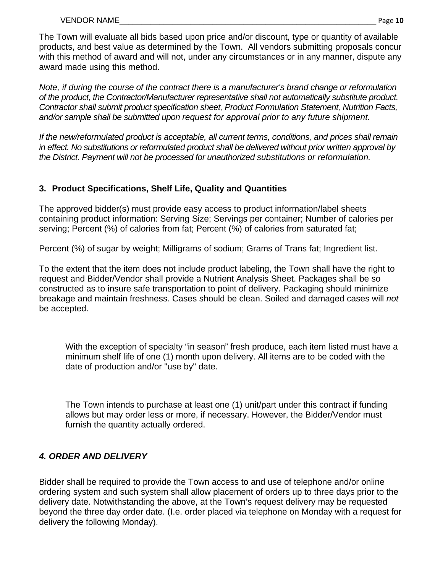The Town will evaluate all bids based upon price and/or discount, type or quantity of available products, and best value as determined by the Town. All vendors submitting proposals concur with this method of award and will not, under any circumstances or in any manner, dispute any award made using this method.

*Note, if during the course of the contract there is a manufacturer's brand change or reformulation of the product, the Contractor/Manufacturer representative shall not automatically substitute product. Contractor shall submit product specification sheet, Product Formulation Statement, Nutrition Facts, and/or sample shall be submitted upon request for approval prior to any future shipment.* 

*If the new/reformulated product is acceptable, all current terms, conditions, and prices shall remain in effect. No substitutions or reformulated product shall be delivered without prior written approval by the District. Payment will not be processed for unauthorized substitutions or reformulation.* 

## **3. Product Specifications, Shelf Life, Quality and Quantities**

The approved bidder(s) must provide easy access to product information/label sheets containing product information: Serving Size; Servings per container; Number of calories per serving; Percent (%) of calories from fat; Percent (%) of calories from saturated fat;

Percent (%) of sugar by weight; Milligrams of sodium; Grams of Trans fat; Ingredient list.

To the extent that the item does not include product labeling, the Town shall have the right to request and Bidder/Vendor shall provide a Nutrient Analysis Sheet. Packages shall be so constructed as to insure safe transportation to point of delivery. Packaging should minimize breakage and maintain freshness. Cases should be clean. Soiled and damaged cases will *not*  be accepted.

With the exception of specialty "in season" fresh produce, each item listed must have a minimum shelf life of one (1) month upon delivery. All items are to be coded with the date of production and/or "use by" date.

The Town intends to purchase at least one (1) unit/part under this contract if funding allows but may order less or more, if necessary. However, the Bidder/Vendor must furnish the quantity actually ordered.

## *4. ORDER AND DELIVERY*

Bidder shall be required to provide the Town access to and use of telephone and/or online ordering system and such system shall allow placement of orders up to three days prior to the delivery date. Notwithstanding the above, at the Town's request delivery may be requested beyond the three day order date. (I.e. order placed via telephone on Monday with a request for delivery the following Monday).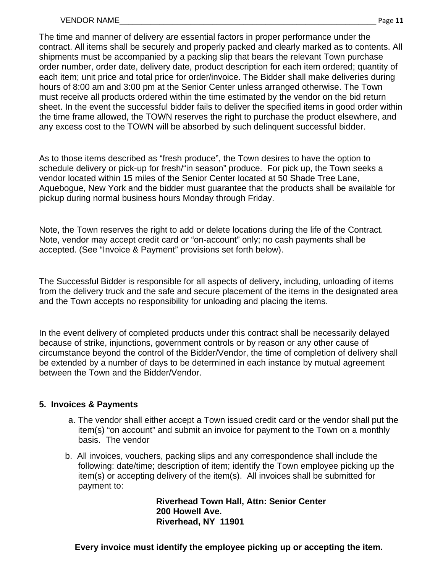The time and manner of delivery are essential factors in proper performance under the contract. All items shall be securely and properly packed and clearly marked as to contents. All shipments must be accompanied by a packing slip that bears the relevant Town purchase order number, order date, delivery date, product description for each item ordered; quantity of each item; unit price and total price for order/invoice. The Bidder shall make deliveries during hours of 8:00 am and 3:00 pm at the Senior Center unless arranged otherwise. The Town must receive all products ordered within the time estimated by the vendor on the bid return sheet. In the event the successful bidder fails to deliver the specified items in good order within the time frame allowed, the TOWN reserves the right to purchase the product elsewhere, and any excess cost to the TOWN will be absorbed by such delinquent successful bidder.

As to those items described as "fresh produce", the Town desires to have the option to schedule delivery or pick-up for fresh/"in season" produce. For pick up, the Town seeks a vendor located within 15 miles of the Senior Center located at 50 Shade Tree Lane, Aquebogue, New York and the bidder must guarantee that the products shall be available for pickup during normal business hours Monday through Friday.

Note, the Town reserves the right to add or delete locations during the life of the Contract. Note, vendor may accept credit card or "on-account" only; no cash payments shall be accepted. (See "Invoice & Payment" provisions set forth below).

The Successful Bidder is responsible for all aspects of delivery, including, unloading of items from the delivery truck and the safe and secure placement of the items in the designated area and the Town accepts no responsibility for unloading and placing the items.

In the event delivery of completed products under this contract shall be necessarily delayed because of strike, injunctions, government controls or by reason or any other cause of circumstance beyond the control of the Bidder/Vendor, the time of completion of delivery shall be extended by a number of days to be determined in each instance by mutual agreement between the Town and the Bidder/Vendor.

## **5. Invoices & Payments**

- a. The vendor shall either accept a Town issued credit card or the vendor shall put the item(s) "on account" and submit an invoice for payment to the Town on a monthly basis. The vendor
- b. All invoices, vouchers, packing slips and any correspondence shall include the following: date/time; description of item; identify the Town employee picking up the item(s) or accepting delivery of the item(s). All invoices shall be submitted for payment to:

**Riverhead Town Hall, Attn: Senior Center 200 Howell Ave. Riverhead, NY 11901** 

 **Every invoice must identify the employee picking up or accepting the item.**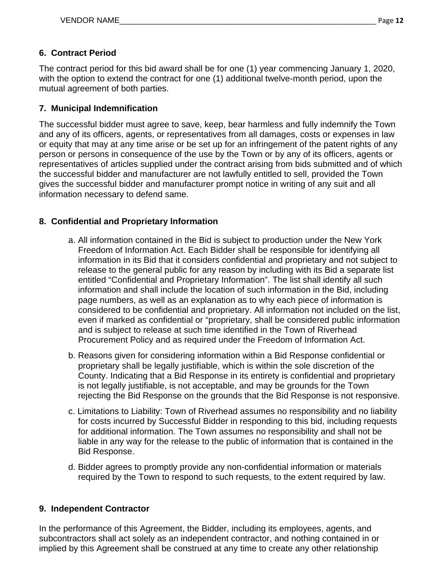## **6. Contract Period**

The contract period for this bid award shall be for one (1) year commencing January 1, 2020, with the option to extend the contract for one (1) additional twelve-month period, upon the mutual agreement of both parties.

#### **7. Municipal Indemnification**

The successful bidder must agree to save, keep, bear harmless and fully indemnify the Town and any of its officers, agents, or representatives from all damages, costs or expenses in law or equity that may at any time arise or be set up for an infringement of the patent rights of any person or persons in consequence of the use by the Town or by any of its officers, agents or representatives of articles supplied under the contract arising from bids submitted and of which the successful bidder and manufacturer are not lawfully entitled to sell, provided the Town gives the successful bidder and manufacturer prompt notice in writing of any suit and all information necessary to defend same.

#### **8. Confidential and Proprietary Information**

- a. All information contained in the Bid is subject to production under the New York Freedom of Information Act. Each Bidder shall be responsible for identifying all information in its Bid that it considers confidential and proprietary and not subject to release to the general public for any reason by including with its Bid a separate list entitled "Confidential and Proprietary Information". The list shall identify all such information and shall include the location of such information in the Bid, including page numbers, as well as an explanation as to why each piece of information is considered to be confidential and proprietary. All information not included on the list, even if marked as confidential or "proprietary, shall be considered public information and is subject to release at such time identified in the Town of Riverhead Procurement Policy and as required under the Freedom of Information Act.
- b. Reasons given for considering information within a Bid Response confidential or proprietary shall be legally justifiable, which is within the sole discretion of the County. Indicating that a Bid Response in its entirety is confidential and proprietary is not legally justifiable, is not acceptable, and may be grounds for the Town rejecting the Bid Response on the grounds that the Bid Response is not responsive.
- c. Limitations to Liability: Town of Riverhead assumes no responsibility and no liability for costs incurred by Successful Bidder in responding to this bid, including requests for additional information. The Town assumes no responsibility and shall not be liable in any way for the release to the public of information that is contained in the Bid Response.
- d. Bidder agrees to promptly provide any non-confidential information or materials required by the Town to respond to such requests, to the extent required by law.

#### **9. Independent Contractor**

In the performance of this Agreement, the Bidder, including its employees, agents, and subcontractors shall act solely as an independent contractor, and nothing contained in or implied by this Agreement shall be construed at any time to create any other relationship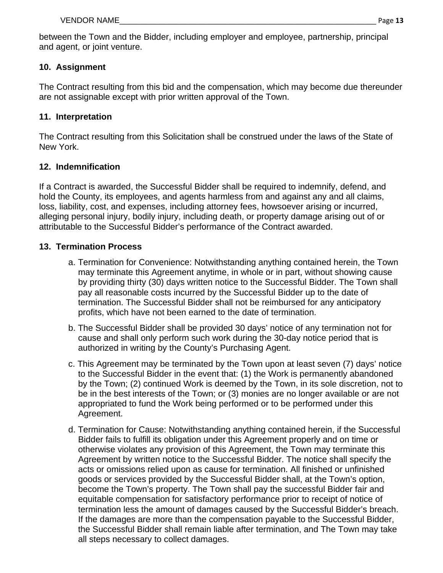between the Town and the Bidder, including employer and employee, partnership, principal and agent, or joint venture.

## **10. Assignment**

The Contract resulting from this bid and the compensation, which may become due thereunder are not assignable except with prior written approval of the Town.

## **11. Interpretation**

The Contract resulting from this Solicitation shall be construed under the laws of the State of New York.

## **12. Indemnification**

If a Contract is awarded, the Successful Bidder shall be required to indemnify, defend, and hold the County, its employees, and agents harmless from and against any and all claims, loss, liability, cost, and expenses, including attorney fees, howsoever arising or incurred, alleging personal injury, bodily injury, including death, or property damage arising out of or attributable to the Successful Bidder's performance of the Contract awarded.

## **13. Termination Process**

- a. Termination for Convenience: Notwithstanding anything contained herein, the Town may terminate this Agreement anytime, in whole or in part, without showing cause by providing thirty (30) days written notice to the Successful Bidder. The Town shall pay all reasonable costs incurred by the Successful Bidder up to the date of termination. The Successful Bidder shall not be reimbursed for any anticipatory profits, which have not been earned to the date of termination.
- b. The Successful Bidder shall be provided 30 days' notice of any termination not for cause and shall only perform such work during the 30-day notice period that is authorized in writing by the County's Purchasing Agent.
- c. This Agreement may be terminated by the Town upon at least seven (7) days' notice to the Successful Bidder in the event that: (1) the Work is permanently abandoned by the Town; (2) continued Work is deemed by the Town, in its sole discretion, not to be in the best interests of the Town; or (3) monies are no longer available or are not appropriated to fund the Work being performed or to be performed under this Agreement.
- d. Termination for Cause: Notwithstanding anything contained herein, if the Successful Bidder fails to fulfill its obligation under this Agreement properly and on time or otherwise violates any provision of this Agreement, the Town may terminate this Agreement by written notice to the Successful Bidder. The notice shall specify the acts or omissions relied upon as cause for termination. All finished or unfinished goods or services provided by the Successful Bidder shall, at the Town's option, become the Town's property. The Town shall pay the successful Bidder fair and equitable compensation for satisfactory performance prior to receipt of notice of termination less the amount of damages caused by the Successful Bidder's breach. If the damages are more than the compensation payable to the Successful Bidder, the Successful Bidder shall remain liable after termination, and The Town may take all steps necessary to collect damages.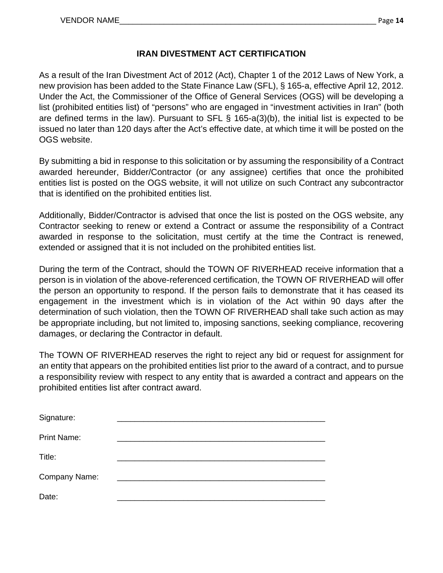## **IRAN DIVESTMENT ACT CERTIFICATION**

As a result of the Iran Divestment Act of 2012 (Act), Chapter 1 of the 2012 Laws of New York, a new provision has been added to the State Finance Law (SFL), § 165-a, effective April 12, 2012. Under the Act, the Commissioner of the Office of General Services (OGS) will be developing a list (prohibited entities list) of "persons" who are engaged in "investment activities in Iran" (both are defined terms in the law). Pursuant to SFL § 165-a(3)(b), the initial list is expected to be issued no later than 120 days after the Act's effective date, at which time it will be posted on the OGS website.

By submitting a bid in response to this solicitation or by assuming the responsibility of a Contract awarded hereunder, Bidder/Contractor (or any assignee) certifies that once the prohibited entities list is posted on the OGS website, it will not utilize on such Contract any subcontractor that is identified on the prohibited entities list.

Additionally, Bidder/Contractor is advised that once the list is posted on the OGS website, any Contractor seeking to renew or extend a Contract or assume the responsibility of a Contract awarded in response to the solicitation, must certify at the time the Contract is renewed, extended or assigned that it is not included on the prohibited entities list.

During the term of the Contract, should the TOWN OF RIVERHEAD receive information that a person is in violation of the above-referenced certification, the TOWN OF RIVERHEAD will offer the person an opportunity to respond. If the person fails to demonstrate that it has ceased its engagement in the investment which is in violation of the Act within 90 days after the determination of such violation, then the TOWN OF RIVERHEAD shall take such action as may be appropriate including, but not limited to, imposing sanctions, seeking compliance, recovering damages, or declaring the Contractor in default.

The TOWN OF RIVERHEAD reserves the right to reject any bid or request for assignment for an entity that appears on the prohibited entities list prior to the award of a contract, and to pursue a responsibility review with respect to any entity that is awarded a contract and appears on the prohibited entities list after contract award.

| Signature:         |  |
|--------------------|--|
| <b>Print Name:</b> |  |
| Title:             |  |
| Company Name:      |  |
| Date:              |  |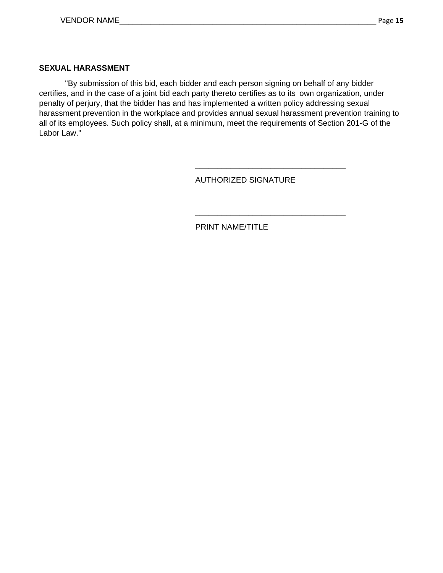#### **SEXUAL HARASSMENT**

"By submission of this bid, each bidder and each person signing on behalf of any bidder certifies, and in the case of a joint bid each party thereto certifies as to its own organization, under penalty of perjury, that the bidder has and has implemented a written policy addressing sexual harassment prevention in the workplace and provides annual sexual harassment prevention training to all of its employees. Such policy shall, at a minimum, meet the requirements of Section 201-G of the Labor Law."

 $\overline{\phantom{a}}$  , which is a set of the contract of the contract of the contract of the contract of the contract of the contract of the contract of the contract of the contract of the contract of the contract of the contract

AUTHORIZED SIGNATURE

\_\_\_\_\_\_\_\_\_\_\_\_\_\_\_\_\_\_\_\_\_\_\_\_\_\_\_\_\_\_\_\_\_\_

PRINT NAME/TITLE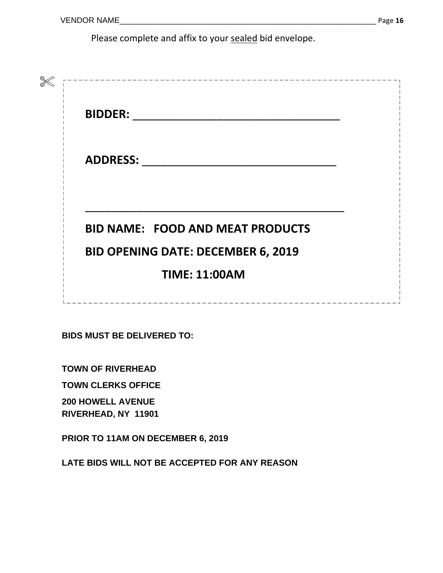Please complete and affix to your sealed bid envelope.

| <b>BIDDER:</b>  |                                           |
|-----------------|-------------------------------------------|
| <b>ADDRESS:</b> |                                           |
|                 | <b>BID NAME: FOOD AND MEAT PRODUCTS</b>   |
|                 | <b>BID OPENING DATE: DECEMBER 6, 2019</b> |
|                 | <b>TIME: 11:00AM</b>                      |

**BIDS MUST BE DELIVERED TO:** 

**TOWN OF RIVERHEAD** 

**TOWN CLERKS OFFICE** 

**200 HOWELL AVENUE RIVERHEAD, NY 11901**

**PRIOR TO 11AM ON DECEMBER 6, 2019**

**LATE BIDS WILL NOT BE ACCEPTED FOR ANY REASON**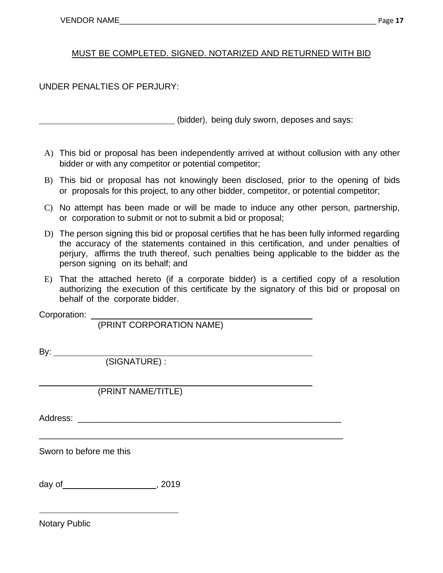## MUST BE COMPLETED. SIGNED. NOTARIZED AND RETURNED WITH BID

UNDER PENALTIES OF PERJURY:

(bidder), being duly sworn, deposes and says:

- A) This bid or proposal has been independently arrived at without collusion with any other bidder or with any competitor or potential competitor;
- B) This bid or proposal has not knowingly been disclosed, prior to the opening of bids or proposals for this project, to any other bidder, competitor, or potential competitor;
- C) No attempt has been made or will be made to induce any other person, partnership, or corporation to submit or not to submit a bid or proposal;
- D) The person signing this bid or proposal certifies that he has been fully informed regarding the accuracy of the statements contained in this certification, and under penalties of perjury, affirms the truth thereof, such penalties being applicable to the bidder as the person signing on its behalf; and
- E) That the attached hereto (if a corporate bidder) is a certified copy of a resolution authorizing the execution of this certificate by the signatory of this bid or proposal on behalf of the corporate bidder.

Corporation: \_

(PRINT CORPORATION NAME)

\_\_\_\_\_\_\_\_\_\_\_\_\_\_\_\_\_\_\_\_\_\_\_\_\_\_\_\_\_\_\_\_\_\_\_\_\_\_\_\_\_\_\_\_\_\_\_\_\_\_\_\_\_\_\_\_\_\_\_\_\_\_\_

By: \_\_\_\_\_\_\_\_\_\_\_\_\_

 $\overline{a}$ 

(SIGNATURE) :

## (PRINT NAME/TITLE)

Address: **with a set of the set of the set of the set of the set of the set of the set of the set of the set of the set of the set of the set of the set of the set of the set of the set of the set of the set of the set of** 

Sworn to before me this

day of , 2019

Notary Public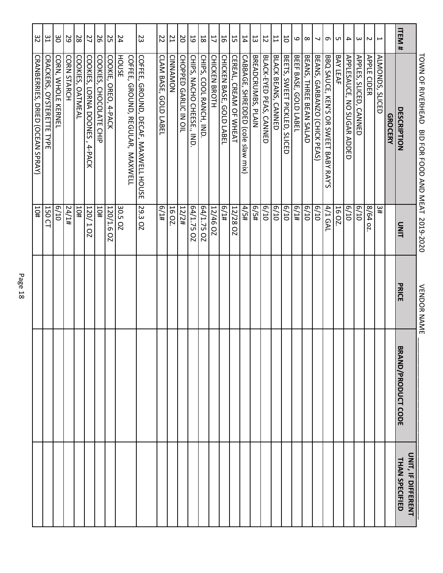|                         | <b>TONN OF RIVERHEAD</b><br>BID FOR FOOD AND MEAT 2019-2020 |                  | <b>VENDOR NAME</b> |                           |                                      |
|-------------------------|-------------------------------------------------------------|------------------|--------------------|---------------------------|--------------------------------------|
| ITEM#                   | DESCRIPTION                                                 | DINIT            | PRICE              | <b>BRAND/PRODUCT CODE</b> | UNIT, IF DIFFERENT<br>THAN SPECIFIED |
|                         | <b>GROCERY</b>                                              |                  |                    |                           |                                      |
|                         | ALMONDS, SLICED                                             | #ε               |                    |                           |                                      |
| $\overline{\mathsf{c}}$ | <b>APPLE CIDER</b>                                          | 8/64 oz          |                    |                           |                                      |
| $\omega$                | APPLES, SLICED, CANNED                                      | 01/9             |                    |                           |                                      |
| 4                       | APPLESAUCE, NO SUGAR ADDED                                  | 6/10             |                    |                           |                                      |
| C                       | BAY LEAF                                                    | 16 OZ.           |                    |                           |                                      |
| $\sigma$                | BBQ SAUCE, KEN'S OR SWEET BABY RAY'S                        | 4/1 GAL          |                    |                           |                                      |
| ┙                       | BEANS, GARBANZO (CHICK PEAS)                                | 01/9             |                    |                           |                                      |
| $\infty$                | BEANS, THREE BEAN SALAD                                     | 6/10             |                    |                           |                                      |
| 6                       | BEEF BASE, GOLD LABEI                                       | f(1#             |                    |                           |                                      |
| $\overline{0}$          | BEETS, SWEET PICKLED, SLICED                                | 6/10             |                    |                           |                                      |
| $\overline{1}$          | BLACK BEANS, CANNED                                         | 6/10             |                    |                           |                                      |
| $\overline{5}$          | BLACK-EYED PEAS, CANNED                                     | 6/10             |                    |                           |                                      |
| 53                      | BREADCRUMBS, PLAIN                                          | f(5/4)           |                    |                           |                                      |
| 14                      | CABBAGE, SHREDDED (cole slaw mix)                           | #S/b             |                    |                           |                                      |
| 55                      | CEREAL, CREAM OF WHEAT                                      | <b>12/28 OZ</b>  |                    |                           |                                      |
| 56                      | CHICKEN BASE, GOLD LABEL                                    | #I/9             |                    |                           |                                      |
| 17                      | CHICKEN BROTH                                               | <b>12/46 OZ</b>  |                    |                           |                                      |
| $\overline{8}$          | CHIPS, COOL RANCH, IND                                      | 64/1.75 02       |                    |                           |                                      |
| 59                      | CHIPS, NACHO CHEESE., IND                                   | 64/1.75 OZ       |                    |                           |                                      |
| <b>D</b>                | CHOPPED GARLIC IN OIL                                       | 12/2#            |                    |                           |                                      |
| $\overline{L}$          | CINNAMON                                                    | 16 OZ.           |                    |                           |                                      |
| 22                      | CLAM BASE, GOLD LABEL                                       | 41/9             |                    |                           |                                      |
| 23                      | <b>COFFEE</b> ,<br>GROUND, DECAF, MAXWELL HOUSE             | 29.3 OZ          |                    |                           |                                      |
| 24                      | <b>HOUSE</b><br>COFFEE,<br>GROUND, REGULAR, MAXWELL         | 30.5 OZ          |                    |                           |                                      |
| 25                      | COOKIE,<br>OREO, 4-PACK                                     | 120/1.6 OZ       |                    |                           |                                      |
| 56                      | COOKIES,<br>CHOCOLATE CHIP                                  | 10#              |                    |                           |                                      |
| $\overline{2}$          | COOKIES,<br>LORNA DOONES<br>4-PACK                          | 120/1021         |                    |                           |                                      |
| $28\,$                  | COOKIES, OATMEAL                                            | 10#              |                    |                           |                                      |
| 29                      | CORN STARCH                                                 | $\frac{417}{24}$ |                    |                           |                                      |
| 90                      | <b>CORN, VHOLE KERNEL</b>                                   | 6/10             |                    |                           |                                      |
| $\frac{1}{2}$           | CRACKERS, OYSTERETTE TYPE                                   | 150 CT           |                    |                           |                                      |
| 32                      | <b>CRANBERRIES, DRIED (OCEAN SPRAY)</b>                     | #OT              |                    |                           |                                      |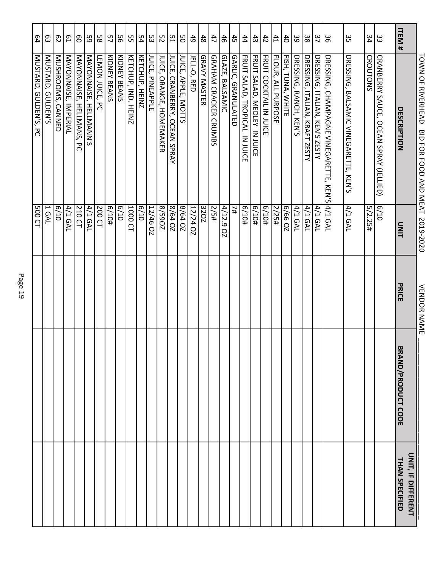|                             | TOWN OF RIVERHEAD<br>BID FOR FOOD AND MEAT 2019-2020    |                     | <b>VENDOR NAME</b> |                           |                                      |
|-----------------------------|---------------------------------------------------------|---------------------|--------------------|---------------------------|--------------------------------------|
| ITEM#                       | DESCRIPTION                                             | DINIT               | PRICE              | <b>BRAND/PRODUCT CODE</b> | UNIT, IF DIFFERENT<br>THAN SPECIFIED |
| ဥ                           | CRANBERRY SAUCE, OCEAN SPRAY (JELLIED)                  | 6/10                |                    |                           |                                      |
| 34                          | CROUTONS                                                | 5/2.25#             |                    |                           |                                      |
| 33                          | DRESSING, BALSAMIC VINEGARETTE, KEN'S                   | 4/1 GAL             |                    |                           |                                      |
| မ္တ                         | DRESSING, CHAMPAGNE VINEGARETTE, KEN'S 4/1 GAL          |                     |                    |                           |                                      |
| $\overline{37}$             | DRESSING, ITALIAN, KEN'S ZESTY                          | 4/1 GAL             |                    |                           |                                      |
| $38\,$                      | DRESSING, ITALIAN, KRAFT ZESTY                          | 4/1 GAL             |                    |                           |                                      |
| 39                          | <b>DRESSING, RANCH, KEN'S</b>                           | 4/1 GAL             |                    |                           |                                      |
| $\overline{d}$              | FISH, TUNA, WHITE                                       | 20 99/9             |                    |                           |                                      |
| 41                          | FLOUR, ALL PURPOSE                                      | 2/25#               |                    |                           |                                      |
| $43\,$<br>$42\,$            | FRUIT SALAD, MEDLEY IN JUICE<br>FRUIT COCKTAIL IN JUICE | 401/9<br>H0179      |                    |                           |                                      |
| 44                          | FRUIT SALAD, TROPICAL IN JUICE                          | 6/10#               |                    |                           |                                      |
| $45$                        | <b>GARLIC, GRANULATED</b>                               | #Z                  |                    |                           |                                      |
| $46\,$                      | GLAZE, BALSAMIC                                         | 4/12.9<br><b>OZ</b> |                    |                           |                                      |
| 47                          | <b>GRAHAM CRACKER CRUMBS</b>                            | 5/5#                |                    |                           |                                      |
| $48\,$                      | GRAVY MASTER                                            | 320Z                |                    |                           |                                      |
| 6 <sub>0</sub>              | JELL-O, RED                                             | <b>12/24 OZ</b>     |                    |                           |                                      |
| 9S                          | JUICE, APPLE, MOTTS                                     | 8/64 0Z             |                    |                           |                                      |
| 51                          | <b>JUICE, CRANBERRY, OCEAN SPRAY</b>                    | 8/64 0Z             |                    |                           |                                      |
| 52                          | JUICE,<br><b>ORANGE, HOMEMAKER</b>                      | ZO65/8              |                    |                           |                                      |
| 53                          | JUICE,<br>PINEAPPLE                                     | 12/46 02            |                    |                           |                                      |
| 54                          | <b>KETCHUP, HEINZ</b>                                   | 01/9                |                    |                           |                                      |
| S.                          | KETCHUP, IND.<br><b>HEINZ</b>                           | 1000 CT             |                    |                           |                                      |
| 56                          | KIDNEY BEANS                                            | 6/10                |                    |                           |                                      |
| 57                          | KIDNEY BEANS                                            | #0T/9               |                    |                           |                                      |
| 58                          | LEMON JUICE, PC                                         | 200 CT              |                    |                           |                                      |
| 59                          | MAYONNAISE, HELLMANN'S                                  | 4/1 GAL             |                    |                           |                                      |
| $\mathsf{S}$                | MAYONNAISE, HELLMANS,<br>უ<br>ი                         | 210 CT              |                    |                           |                                      |
| СJ                          | MAYONNAISE, IMPERIAL                                    | 4/1 GAL             |                    |                           |                                      |
| $\mathcal{L}^{\mathcal{G}}$ | MUSHROOMS, CANNED                                       | 6/10                |                    |                           |                                      |
| ස                           | MUSTARD, GULDEN'S                                       | 1 GAL               |                    |                           |                                      |
| $64$                        | MUSTARD, GULDEN'S, PC                                   | 500 CT              |                    |                           |                                      |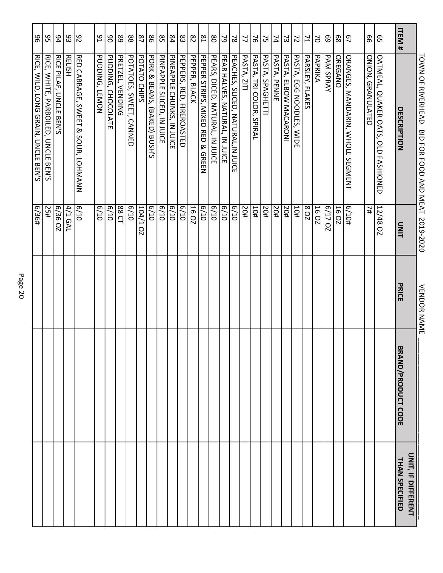|                   | <b>LOWN OF RIVERHEAD</b><br>BID FOR FOOD AND MEAT 2019-2020 |                 | VENDOR NAME |                           |                                             |
|-------------------|-------------------------------------------------------------|-----------------|-------------|---------------------------|---------------------------------------------|
| ITEM <sup>#</sup> | DESCRIPTION                                                 | UNIT            | PRICE       | <b>BRAND/PRODUCT CODE</b> | <b>ONIT, IF DIFFERENT</b><br>THAN SPECIFIED |
| ვე                | OATMEAL, QUAKER OATS, OLD FASHIONED                         | <b>12/48 OZ</b> |             |                           |                                             |
| 99                | ONION, GRANULATED                                           | #Z              |             |                           |                                             |
| 57                | ORANGES, MANDARIN, WHOLE SEGMENT                            | 16/10#          |             |                           |                                             |
| 89                | <b>OREGANO</b>                                              | 16 OZ           |             |                           |                                             |
| 69                | <b>PAM SPRAY</b>                                            | <b>6/17 OZ</b>  |             |                           |                                             |
| S                 | PAPRIKA                                                     | 16 OZ           |             |                           |                                             |
| 71                | PARSLEY, FLAKES                                             | <b>208</b>      |             |                           |                                             |
| $\overline{z}$    | PASTA, EGG NOODLES, WIDE                                    | #OT             |             |                           |                                             |
| 53                | PASTA, ELBOW MACARONI                                       | #0Z             |             |                           |                                             |
| 74                | PASTA, PENNE                                                | #0Z             |             |                           |                                             |
| 25                | PASTA, SPAGHETTI                                            | 50#             |             |                           |                                             |
| 97                | PASTA, TRI-COLOR, SPIRAL                                    | #OT             |             |                           |                                             |
| 77                | PASTA, ZITI                                                 | 50#             |             |                           |                                             |
| $\approx$         | PEACHES, SLICED, NATURAL, IN JUICE                          | 6/10            |             |                           |                                             |
| $\mathcal{S}$     | PEAR HALVES, NATURAL, IN JUICE                              | 6/10            |             |                           |                                             |
| 80                | PEARS, DICED, NATURAL, IN JUICE                             | 01/9            |             |                           |                                             |
| $\sqrt{8}$        | PEPPER STRIPS,<br>MIXED & GREEN                             | 6/10            |             |                           |                                             |
| 82                | PEPPER, BLACK                                               | 16 OZ           |             |                           |                                             |
| $\rm g3$          | PEPPERS, RED, FIREROASTED                                   | 01/9            |             |                           |                                             |
| $^{54}$           | PINEAPPLE<br>CHUNKS, IN JUICE                               | 01/9            |             |                           |                                             |
| S <sub>2</sub>    | PINEAPPLE SLICED,<br>IN JUICE                               | 6/10            |             |                           |                                             |
| 98                | PORK & BEANS,<br>(BAKED) BUSH'S                             | 6/10            |             |                           |                                             |
| 87                | POTATO<br><b>CHIPS</b>                                      | I/b0I<br>QZ     |             |                           |                                             |
| 88                | POTATOES, SWEET,<br><b>CANNED</b>                           | 6/10            |             |                           |                                             |
| 68                | PRETZEL, VENDING                                            | 88 CT           |             |                           |                                             |
| 80                | <b>PUDDING</b><br><b>CHOCOLATE</b>                          | 6/10            |             |                           |                                             |
| 91                | PUDDING,<br><b>LEMON</b>                                    | 6/10            |             |                           |                                             |
| $\frac{8}{5}$     | RED CABBAGE, SWEET & SOUR, LOHMANN                          | 6/10            |             |                           |                                             |
| 93                | <b>RELISH</b>                                               | 4/1 GAL         |             |                           |                                             |
| 94                | <b>RICE PILAF,</b><br>UNCLE BEN'S                           | 6/36 OZ         |             |                           |                                             |
| 95                | RICE,<br>WHITE,<br>PARBOILED, UNCLE BEN'S                   | 25#             |             |                           |                                             |
| 96                | RICE, WILD, LONG GRAIN, UNCLE BEN'S                         | 6/36#           |             |                           |                                             |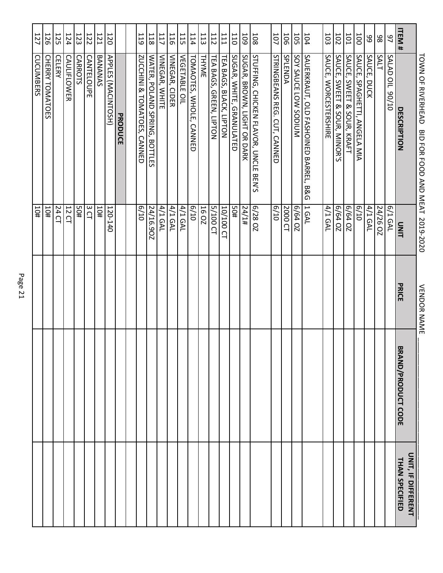|                | TOWN OF RIVERHEAD<br>BID FOR FOOD AND MEAT 2019-2020 |                                 | VENDOR NAME |                           |                                      |
|----------------|------------------------------------------------------|---------------------------------|-------------|---------------------------|--------------------------------------|
| ITEM#          | DESCRIPTION                                          | <b>UNIT</b>                     | PRICE       | <b>SRAND/PRODUCT CODE</b> | UNIT, IF DIFFERENT<br>THAN SPECIFIED |
| $\overline{6}$ | <b>SALAD OIL 90/10</b>                               | 6/1 GAL                         |             |                           |                                      |
| 86             | <b>SALT</b>                                          | 24/26 OZ                        |             |                           |                                      |
| 99             | SAUCE, DUCK                                          | 4/1 GAL                         |             |                           |                                      |
| 100            | SAUCE, SPAGHETTI, ANGELA MIA                         | 6/10                            |             |                           |                                      |
| IOI            | SAUCE, SWEET & SOUR, KRAFI                           | <b>6/64 OZ</b>                  |             |                           |                                      |
| <b>102</b>     | SAUCE, SWEET & SOUR, MINOR'S                         | 6/64 0Z                         |             |                           |                                      |
| 103            | SAUCE, WORCESTERSHIRE                                | 4/1 GAL                         |             |                           |                                      |
| 104            | SAULERKRANT, OLD LASHOINED BARREL, B&G               | 1 GAL                           |             |                           |                                      |
| <b>105</b>     | NUMBE LOW SODIUM                                     | 6/64 0Z                         |             |                           |                                      |
| 106            | SPLENDA                                              | 2000 CT                         |             |                           |                                      |
| 101            | STRINGBEANS REG. CUT,<br><b>CANNED</b>               | 6/10                            |             |                           |                                      |
| 108            | STUFFING, CHICKEN FLAVOR, UNCLE BEN'S                | 6/28 OZ                         |             |                           |                                      |
| <b>109</b>     | SUGAR, BROWN, LIGHT OR DARK                          | 14/1#                           |             |                           |                                      |
| 011            | SUGAR, WHITE,<br><b>GRANULATED</b>                   | #0S                             |             |                           |                                      |
| I11            | TEA BAGS,<br><b>BLACK, LIPTON</b>                    | 10/100<br>$\Omega$              |             |                           |                                      |
| <b>112</b>     | TEA BAGS,<br>GREEN, LIPTON                           | $-001/5$<br>$\overline{\Omega}$ |             |                           |                                      |
| 113            | <b>THYMLE</b>                                        | 16 OZ                           |             |                           |                                      |
| 114            | TOMAOTES, WHOLE,<br><b>CANNED</b>                    | 6/10                            |             |                           |                                      |
| 115            | <b>VEGETABLE</b><br>$\supseteq$                      | 4/1 GAL                         |             |                           |                                      |
| 116            | VINEGAR, CIDER                                       | 4/1 GAL                         |             |                           |                                      |
| <b>117</b>     | VINEGAR, WHITE                                       | 4/1 GAL                         |             |                           |                                      |
| 118            | WATER, POLAND SPRING, BOTTLES                        | 24/16.90Z                       |             |                           |                                      |
| <b>119</b>     | ZUCCHINI & TOMATOES,<br><b>CANNED</b>                | 01/9                            |             |                           |                                      |
|                | PRODUCE                                              |                                 |             |                           |                                      |
| 120            | APPLES (MACINTOSH)                                   | 120-140                         |             |                           |                                      |
| <b>121</b>     | BANANAS                                              | #OT                             |             |                           |                                      |
| 122            | <b>CANTELOUPE</b>                                    | 3 CT                            |             |                           |                                      |
| 123            | <b>CARROTS</b>                                       | 405                             |             |                           |                                      |
| 124            | CAULIFLOWER                                          | 12 CL                           |             |                           |                                      |
| <b>125</b>     | <b>CELERY</b>                                        | 24 CT                           |             |                           |                                      |
| 126            | CHERRY TOMATOES                                      | #OT                             |             |                           |                                      |
| 127            | CUCUMBERS                                            | 10#                             |             |                           |                                      |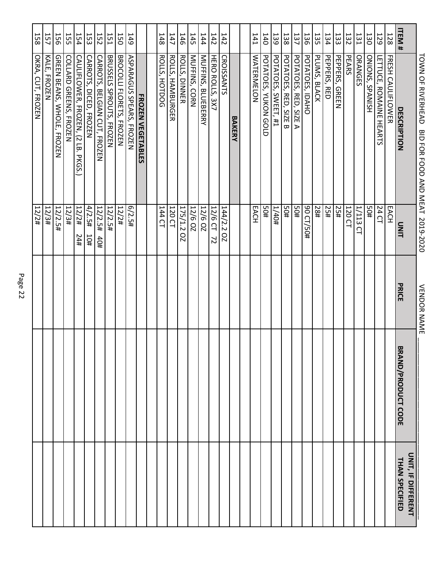|            | TOWN OF RIVERHEAD BID FOR FOOD AND MEAT 2019-2020                            |                           | <b>VENDOR NAME</b> |                           |                                      |
|------------|------------------------------------------------------------------------------|---------------------------|--------------------|---------------------------|--------------------------------------|
| ITEM#      | DESCRIPTION                                                                  | DINIT                     | PRICE              | <b>BRAND/PRODUCT CODE</b> | UNIT, IF DIFFERENT<br>THAN SPECIFIED |
| 128        | FRESH CAULIFLOWER                                                            | EACH                      |                    |                           |                                      |
| 129        | LETTUCE,<br><b>ROMAINE HEARTS</b>                                            | 24 CT                     |                    |                           |                                      |
| 130        | <b>ONIONS, SPANISH</b>                                                       | 50#                       |                    |                           |                                      |
| 131        | <b>ORANGES</b>                                                               | <b>1/113</b><br>$\Omega$  |                    |                           |                                      |
| 132        | PEARS                                                                        | $\frac{120}{120}$         |                    |                           |                                      |
| 133        | <b>PEPPERS, GREEN</b>                                                        | 25#                       |                    |                           |                                      |
| 134        | <b>PEPPERS, RED</b>                                                          | 25#                       |                    |                           |                                      |
| 135        | PLUMS, BLACK                                                                 | 1881                      |                    |                           |                                      |
| 136        | POTATOES, IDAHO                                                              | 90 CT/50#                 |                    |                           |                                      |
| 137        | POTATOES, RED, SIZE A                                                        | #0S                       |                    |                           |                                      |
| 138        | POTATOES, RED, SIZE B                                                        | #0S                       |                    |                           |                                      |
| 139        | POTATOES, SWEET, #1                                                          | #Ot/L                     |                    |                           |                                      |
| 140        | POTATOES, YUKON GOLD                                                         | #0S                       |                    |                           |                                      |
| 141        | <b>WATERMELON</b>                                                            | EACH                      |                    |                           |                                      |
|            |                                                                              |                           |                    |                           |                                      |
|            | BAKERY                                                                       |                           |                    |                           |                                      |
| <b>142</b> | <b>CROISSANTS</b>                                                            | 144/2.202                 |                    |                           |                                      |
| <b>142</b> | <b>HERO ROLLS, 3X7</b>                                                       | 12/6 CT<br>$\overline{z}$ |                    |                           |                                      |
| 144        | MUFFINS, BLUEBERRY                                                           | 12/6 02                   |                    |                           |                                      |
| 145        | MUFFINS, CORN                                                                | 12/6 OZ                   |                    |                           |                                      |
| 146        | <b>ROLLS, DINNER</b>                                                         | 175/1.2<br>QZ             |                    |                           |                                      |
| 147        | ROLLS, HAMBURGER                                                             | 120 CT                    |                    |                           |                                      |
| 148        | ROLLS, HOTDOG                                                                | 144 CT                    |                    |                           |                                      |
|            |                                                                              |                           |                    |                           |                                      |
|            | <b>FROZEN VEGETABLES</b>                                                     |                           |                    |                           |                                      |
| <b>149</b> | ASPARAGUS SPEARS, FROZEN                                                     | 6/2.5#                    |                    |                           |                                      |
| <b>J50</b> | BROCOLLI FLORETS, FROZEN                                                     | $12/2$ #                  |                    |                           |                                      |
| <b>151</b> | BRUSSELS SPROUTS, FROZEN                                                     | 12/2.5#                   |                    |                           |                                      |
| <b>152</b> | <b>CARROTS, BELGIAN CUT, FROZEN</b>                                          | 12/2.5#<br>40#            |                    |                           |                                      |
| 153        | CARROTS,<br>DICED, FROZEN                                                    | 4/2.5#<br>10#             |                    |                           |                                      |
| 154        | <b>CAULIFLOWER, FROZEN,</b><br>$\widehat{\mathcal{L}}$<br>LB.<br><b>PKGS</b> | 12/2#<br>#12              |                    |                           |                                      |
| 155        | COLLARD GREENS, FRONEN                                                       | $+5/24$                   |                    |                           |                                      |
| <b>156</b> | GREEN BEANS, WHOLE,<br><b>FROZEN</b>                                         | 12/2.5#                   |                    |                           |                                      |
| <b>157</b> | KALE,<br><b>FROZEN</b>                                                       | 12/3#                     |                    |                           |                                      |
| 158        | OKRA, CUT, FROZEN                                                            | 12/2#                     |                    |                           |                                      |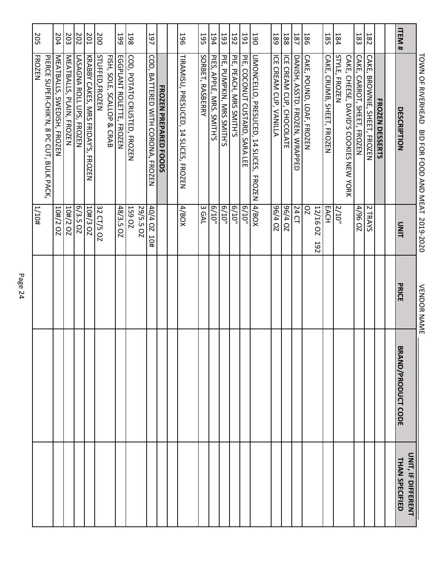|              | TOWN OF RIVERHEAD<br>BID FOR FOOD AND MEAT 2019-2020 |                            | <b>VENDOR NAME</b> |                           |                                      |
|--------------|------------------------------------------------------|----------------------------|--------------------|---------------------------|--------------------------------------|
| <b>ITEM#</b> | DESCRIPTION                                          | UNIT                       | PRICE              | <b>BRAND/PRODUCT CODE</b> | UNIT, IF DIFFERENT<br>THAN SPECIFIED |
|              |                                                      |                            |                    |                           |                                      |
|              | <b>FROZEN DESSERTS</b>                               |                            |                    |                           |                                      |
| <b>182</b>   | <b>CAKE, BROWNIE, SHEET, FROZEN</b>                  | 2 TRAYS                    |                    |                           |                                      |
| 183          | CAKE, CARROT, SHEET, FROZEN                          | 4/96 0Z                    |                    |                           |                                      |
|              | CAKE, CHEESE, DAVID'S COOKIES NEW YORK               |                            |                    |                           |                                      |
| 184          | STYLE, FROZEN                                        | 2/10 <sup>n</sup>          |                    |                           |                                      |
| <b>185</b>   | CAKE, CRUMB, SHEET, FROZEN                           | EACH                       |                    |                           |                                      |
|              |                                                      | 12/16 OZ<br><b>192</b>     |                    |                           |                                      |
| 186          | CAKE, POUND, LOAF, FROZEN                            | <b>DZ</b>                  |                    |                           |                                      |
| <b>187</b>   | DANISH, ASSTD. FROZEN, WRAPPED                       | 24 CT                      |                    |                           |                                      |
| 188          | ICE CREAM CUP, CHOCOLATE                             | 20 t/96                    |                    |                           |                                      |
| 189          | ICE CREAM CUP, VANILLA                               | 20 t/96                    |                    |                           |                                      |
| 190          | LIMONCELLO, PRESLICED, 14 SLICES,<br><b>FROZEN</b>   | XOB/V                      |                    |                           |                                      |
| 191          | PIE, COCONUT CUSTARD, SARA LEE                       | $6/10^{11}$                |                    |                           |                                      |
| <b>Z6T</b>   | PIE, PEACH, MRS SMITH'S                              | 6/10 <sup>n</sup>          |                    |                           |                                      |
| 193          | PIE, PUMPKIN, MRS SMITH'S                            | $6/10^{11}$                |                    |                           |                                      |
| 194          | PIES, APPLE, MRS. SMITH'S                            | $6/10^{10}$                |                    |                           |                                      |
| 195          | SORBET, RASBERRY                                     | 3 GAL                      |                    |                           |                                      |
| <b>196</b>   | TRAMISU, PRESLICED, 14 SLICES, FROZEN                | 4/BOX                      |                    |                           |                                      |
|              |                                                      |                            |                    |                           |                                      |
|              | FRONEN PREPARED FOODS                                |                            |                    |                           |                                      |
| 197          | COD, BATTERED WITH CORONA, FROZEN                    | 40/4 OZ 10#                |                    |                           |                                      |
| 198          | COD, POTATO CRUSTED, FROZEN                          | <b>159 OZ</b><br>29/5.5 02 |                    |                           |                                      |
| 199          | EGGPLANT ROLETTE, FROZEN                             | 48/3.5 OZ                  |                    |                           |                                      |
|              | FISH, SOLE, SCALLOP & CRAB                           |                            |                    |                           |                                      |
| 200          | STUFFED, FROZEN                                      | 32 CT/5 OZ                 |                    |                           |                                      |
| 201          | KRABBY CAKES, MRS FRIDAY'S, FROZEN                   | 10#/3 OZ                   |                    |                           |                                      |
| 202          | <b>LASAGNA ROLL UPS, FROZEN</b>                      | 6/3.5 OZ                   |                    |                           |                                      |
| 203          | MEATBALLS, PLAIN, FROZEN                             | 10#/2 OZ                   |                    |                           |                                      |
| 204          | MEATBALLS, SWEDISH, FROZEN                           | 10#/2 OZ                   |                    |                           |                                      |
|              | PIERCE SUPER-CHIK'N, 8 PC CUT, BULK PACK,            | $+01/1$                    |                    |                           |                                      |
| <b>205</b>   | <b>FROZEN</b>                                        |                            |                    |                           |                                      |